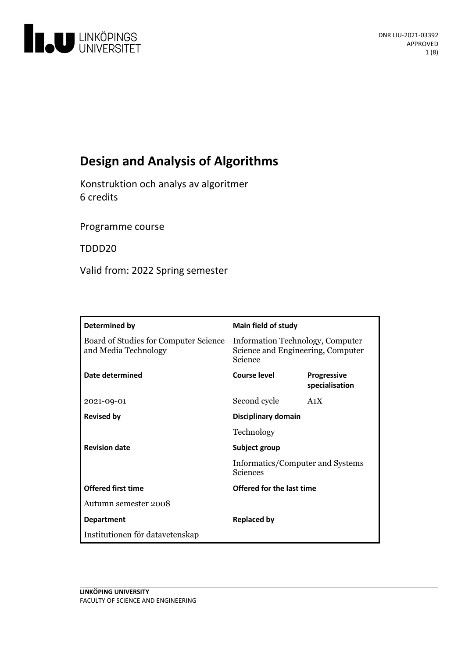

# **Design and Analysis of Algorithms**

Konstruktion och analys av algoritmer 6 credits

Programme course

TDDD20

Valid from: 2022 Spring semester

| Determined by                                                 | <b>Main field of study</b>                                                       |                                      |
|---------------------------------------------------------------|----------------------------------------------------------------------------------|--------------------------------------|
| Board of Studies for Computer Science<br>and Media Technology | Information Technology, Computer<br>Science and Engineering, Computer<br>Science |                                      |
| Date determined                                               | Course level                                                                     | <b>Progressive</b><br>specialisation |
| 2021-09-01                                                    | Second cycle                                                                     | A <sub>1</sub> X                     |
| <b>Revised by</b>                                             | Disciplinary domain<br>Technology                                                |                                      |
|                                                               |                                                                                  |                                      |
| <b>Revision date</b>                                          | Subject group<br>Informatics/Computer and Systems<br>Sciences                    |                                      |
|                                                               |                                                                                  |                                      |
| <b>Offered first time</b>                                     | Offered for the last time                                                        |                                      |
| Autumn semester 2008                                          |                                                                                  |                                      |
| <b>Department</b>                                             | <b>Replaced by</b>                                                               |                                      |
| Institutionen för datavetenskap                               |                                                                                  |                                      |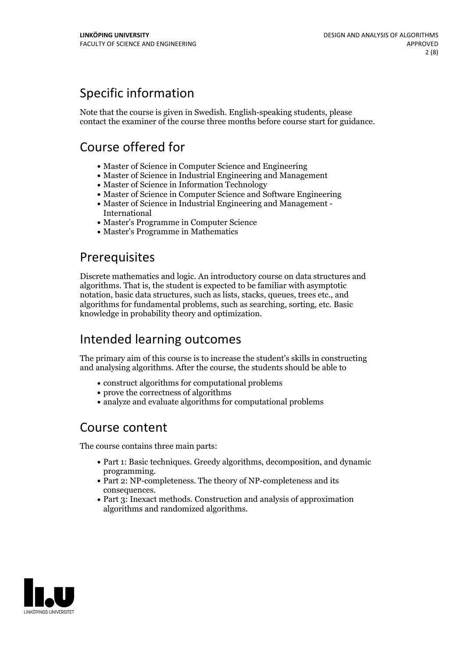# Specific information

Note that the course is given in Swedish. English-speaking students, please contact the examiner of the course three months before course start for guidance.

## Course offered for

- Master of Science in Computer Science and Engineering
- Master of Science in Industrial Engineering and Management
- Master of Science in Information Technology
- Master of Science in Computer Science and Software Engineering
- Master of Science in Industrial Engineering and Management International
- Master's Programme in Computer Science
- Master's Programme in Mathematics

## Prerequisites

Discrete mathematics and logic. An introductory course on data structures and algorithms. That is, the student is expected to be familiar with asymptotic notation, basic data structures, such as lists, stacks, queues, trees etc., and algorithms for fundamental problems, such as searching, sorting, etc. Basic knowledge in probability theory and optimization.

## Intended learning outcomes

The primary aim of this course is to increase the student's skills in constructing and analysing algorithms. After the course, the students should be able to

- construct algorithms for computational problems
- prove the correctness of algorithms
- analyze and evaluate algorithms for computational problems

## Course content

The course contains three main parts:

- Part 1: Basic techniques. Greedy algorithms, decomposition, and dynamic
- programming.<br>• Part 2: NP-completeness. The theory of NP-completeness and its
- consequences.<br>• Part 3: Inexact methods. Construction and analysis of approximation algorithms and randomized algorithms.

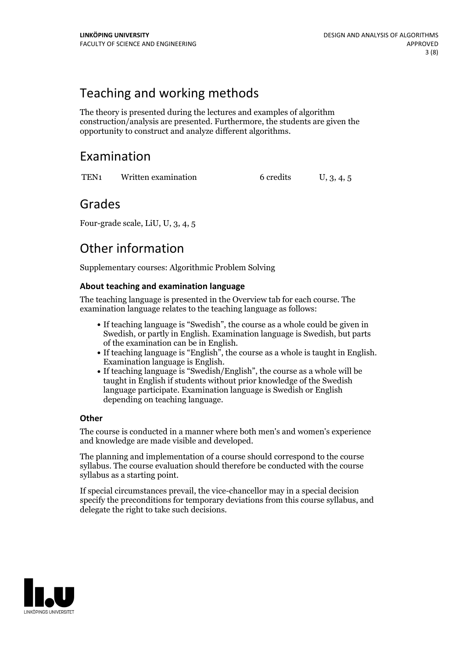# Teaching and working methods

The theory is presented during the lectures and examples of algorithm construction/analysis are presented. Furthermore, the students are given the opportunity to construct and analyze different algorithms.

## Examination

TEN<sub>1</sub> Written examination 6 credits U, 3, 4, 5

## Grades

Four-grade scale, LiU, U, 3, 4, 5

# Other information

Supplementary courses: Algorithmic Problem Solving

### **About teaching and examination language**

The teaching language is presented in the Overview tab for each course. The examination language relates to the teaching language as follows:

- If teaching language is "Swedish", the course as a whole could be given in Swedish, or partly in English. Examination language is Swedish, but parts
- of the examination can be in English. If teaching language is "English", the course as <sup>a</sup> whole is taught in English. Examination language is English. If teaching language is "Swedish/English", the course as <sup>a</sup> whole will be
- taught in English if students without prior knowledge of the Swedish language participate. Examination language is Swedish or English depending on teaching language.

## **Other**

The course is conducted in a manner where both men's and women's experience and knowledge are made visible and developed.

The planning and implementation of a course should correspond to the course syllabus. The course evaluation should therefore be conducted with the course syllabus as a starting point.

If special circumstances prevail, the vice-chancellor may in a special decision specify the preconditions for temporary deviations from this course syllabus, and delegate the right to take such decisions.

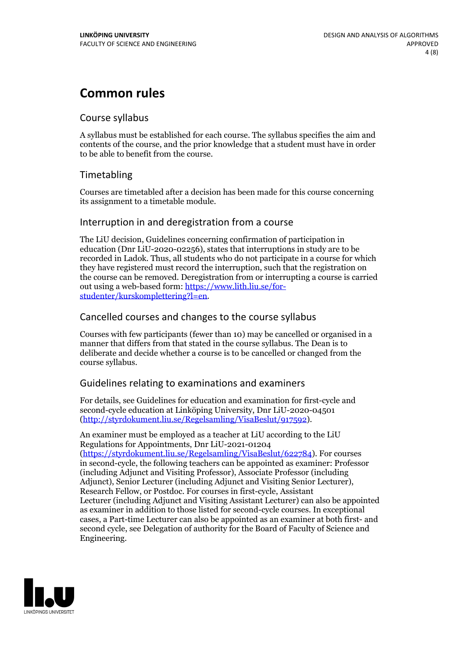## **Common rules**

### Course syllabus

A syllabus must be established for each course. The syllabus specifies the aim and contents of the course, and the prior knowledge that a student must have in order to be able to benefit from the course.

## Timetabling

Courses are timetabled after a decision has been made for this course concerning its assignment to a timetable module.

### Interruption in and deregistration from a course

The LiU decision, Guidelines concerning confirmation of participation in education (Dnr LiU-2020-02256), states that interruptions in study are to be recorded in Ladok. Thus, all students who do not participate in a course for which they have registered must record the interruption, such that the registration on the course can be removed. Deregistration from or interrupting a course is carried out using <sup>a</sup> web-based form: https://www.lith.liu.se/for- [studenter/kurskomplettering?l=en.](https://www.lith.liu.se/for-studenter/kurskomplettering?l=en)

## Cancelled coursesand changes to the course syllabus

Courses with few participants (fewer than 10) may be cancelled or organised in a manner that differs from that stated in the course syllabus. The Dean is to deliberate and decide whether a course is to be cancelled or changed from the course syllabus.

## Guidelines relating to examinations and examiners

For details, see Guidelines for education and examination for first-cycle and second-cycle education at Linköping University, Dnr LiU-2020-04501 [\(http://styrdokument.liu.se/Regelsamling/VisaBeslut/917592\)](http://styrdokument.liu.se/Regelsamling/VisaBeslut/917592).

An examiner must be employed as a teacher at LiU according to the LiU Regulations for Appointments, Dnr LiU-2021-01204 [\(https://styrdokument.liu.se/Regelsamling/VisaBeslut/622784](https://styrdokument.liu.se/Regelsamling/VisaBeslut/622784)). For courses in second-cycle, the following teachers can be appointed as examiner: Professor (including Adjunct and Visiting Professor), Associate Professor (including Adjunct), Senior Lecturer (including Adjunct and Visiting Senior Lecturer), Research Fellow, or Postdoc. For courses in first-cycle, Assistant Lecturer (including Adjunct and Visiting Assistant Lecturer) can also be appointed as examiner in addition to those listed for second-cycle courses. In exceptional cases, a Part-time Lecturer can also be appointed as an examiner at both first- and second cycle, see Delegation of authority for the Board of Faculty of Science and Engineering.

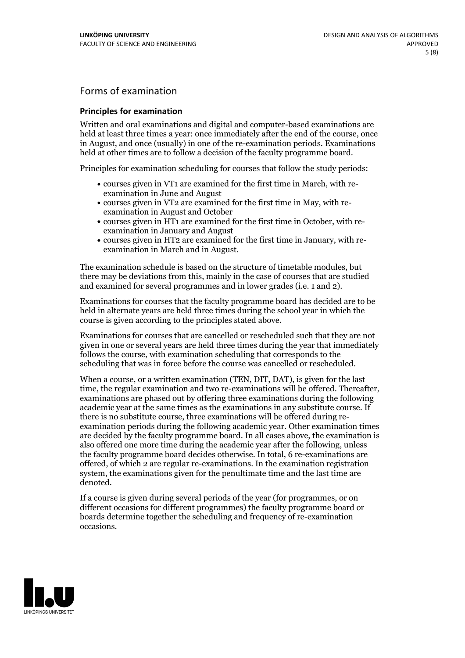## Forms of examination

#### **Principles for examination**

Written and oral examinations and digital and computer-based examinations are held at least three times a year: once immediately after the end of the course, once in August, and once (usually) in one of the re-examination periods. Examinations held at other times are to follow a decision of the faculty programme board.

Principles for examination scheduling for courses that follow the study periods:

- courses given in VT1 are examined for the first time in March, with re-examination in June and August
- courses given in VT2 are examined for the first time in May, with re-examination in August and October
- courses given in HT1 are examined for the first time in October, with re-examination in January and August
- courses given in HT2 are examined for the first time in January, with re-examination in March and in August.

The examination schedule is based on the structure of timetable modules, but there may be deviations from this, mainly in the case of courses that are studied and examined for several programmes and in lower grades (i.e. 1 and 2).

Examinations for courses that the faculty programme board has decided are to be held in alternate years are held three times during the school year in which the course is given according to the principles stated above.

Examinations for courses that are cancelled orrescheduled such that they are not given in one or several years are held three times during the year that immediately follows the course, with examination scheduling that corresponds to the scheduling that was in force before the course was cancelled or rescheduled.

When a course, or a written examination (TEN, DIT, DAT), is given for the last time, the regular examination and two re-examinations will be offered. Thereafter, examinations are phased out by offering three examinations during the following academic year at the same times as the examinations in any substitute course. If there is no substitute course, three examinations will be offered during re- examination periods during the following academic year. Other examination times are decided by the faculty programme board. In all cases above, the examination is also offered one more time during the academic year after the following, unless the faculty programme board decides otherwise. In total, 6 re-examinations are offered, of which 2 are regular re-examinations. In the examination registration system, the examinations given for the penultimate time and the last time are denoted.

If a course is given during several periods of the year (for programmes, or on different occasions for different programmes) the faculty programme board or boards determine together the scheduling and frequency of re-examination occasions.

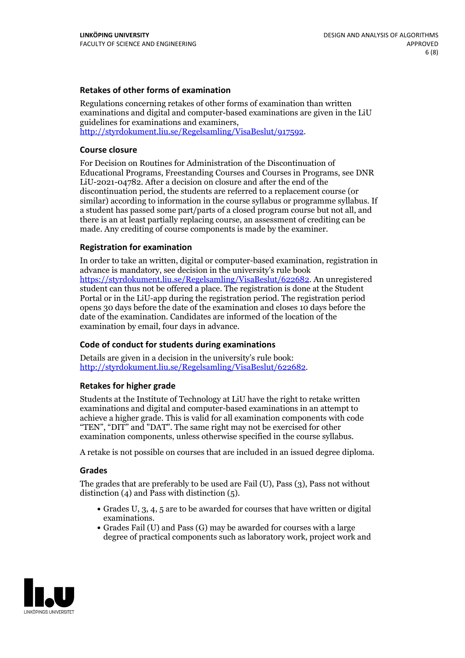#### **Retakes of other forms of examination**

Regulations concerning retakes of other forms of examination than written examinations and digital and computer-based examinations are given in the LiU guidelines for examinations and examiners, [http://styrdokument.liu.se/Regelsamling/VisaBeslut/917592.](http://styrdokument.liu.se/Regelsamling/VisaBeslut/917592)

#### **Course closure**

For Decision on Routines for Administration of the Discontinuation of Educational Programs, Freestanding Courses and Courses in Programs, see DNR LiU-2021-04782. After a decision on closure and after the end of the discontinuation period, the students are referred to a replacement course (or similar) according to information in the course syllabus or programme syllabus. If a student has passed some part/parts of a closed program course but not all, and there is an at least partially replacing course, an assessment of crediting can be made. Any crediting of course components is made by the examiner.

#### **Registration for examination**

In order to take an written, digital or computer-based examination, registration in advance is mandatory, see decision in the university's rule book [https://styrdokument.liu.se/Regelsamling/VisaBeslut/622682.](https://styrdokument.liu.se/Regelsamling/VisaBeslut/622682) An unregistered student can thus not be offered a place. The registration is done at the Student Portal or in the LiU-app during the registration period. The registration period opens 30 days before the date of the examination and closes 10 days before the date of the examination. Candidates are informed of the location of the examination by email, four days in advance.

#### **Code of conduct for students during examinations**

Details are given in a decision in the university's rule book: <http://styrdokument.liu.se/Regelsamling/VisaBeslut/622682>.

#### **Retakes for higher grade**

Students at the Institute of Technology at LiU have the right to retake written examinations and digital and computer-based examinations in an attempt to achieve a higher grade. This is valid for all examination components with code "TEN", "DIT" and "DAT". The same right may not be exercised for other examination components, unless otherwise specified in the course syllabus.

A retake is not possible on courses that are included in an issued degree diploma.

#### **Grades**

The grades that are preferably to be used are Fail (U), Pass (3), Pass not without distinction  $(4)$  and Pass with distinction  $(5)$ .

- Grades U, 3, 4, 5 are to be awarded for courses that have written or digital examinations.<br>• Grades Fail (U) and Pass (G) may be awarded for courses with a large
- degree of practical components such as laboratory work, project work and

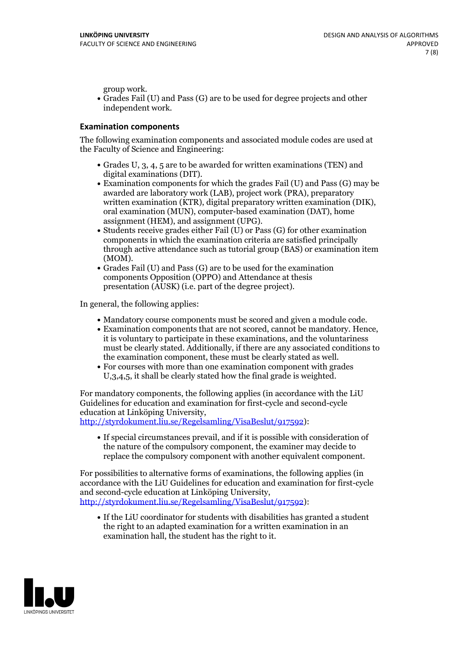group work.<br>• Grades Fail (U) and Pass (G) are to be used for degree projects and other independent work.

#### **Examination components**

The following examination components and associated module codes are used at the Faculty of Science and Engineering:

- Grades U, 3, 4, 5 are to be awarded for written examinations (TEN) and
- digital examinations (DIT).<br>• Examination components for which the grades Fail (U) and Pass (G) may be awarded are laboratory work (LAB), project work (PRA), preparatory written examination (KTR), digital preparatory written examination (DIK), oral examination (MUN), computer-based examination (DAT), home
- assignment (HEM), and assignment (UPG).<br>• Students receive grades either Fail (U) or Pass (G) for other examination components in which the examination criteria are satisfied principally through active attendance such as tutorial group (BAS) or examination item
- (MOM).<br>• Grades Fail (U) and Pass (G) are to be used for the examination components Opposition (OPPO) and Attendance at thesis presentation (AUSK) (i.e. part of the degree project).

In general, the following applies:

- 
- Mandatory course components must be scored and given <sup>a</sup> module code. Examination components that are not scored, cannot be mandatory. Hence, it is voluntary to participate in these examinations, and the voluntariness must be clearly stated. Additionally, if there are any associated conditions to
- the examination component, these must be clearly stated as well.<br>• For courses with more than one examination component with grades U,3,4,5, it shall be clearly stated how the final grade is weighted.

For mandatory components, the following applies (in accordance with the LiU Guidelines for education and examination for first-cycle and second-cycle education at Linköping University,<br>[http://styrdokument.liu.se/Regelsamling/VisaBeslut/917592\)](http://styrdokument.liu.se/Regelsamling/VisaBeslut/917592):

If special circumstances prevail, and if it is possible with consideration of the nature of the compulsory component, the examiner may decide to replace the compulsory component with another equivalent component.

For possibilities to alternative forms of examinations, the following applies (in accordance with the LiU Guidelines for education and examination for first-cycle [http://styrdokument.liu.se/Regelsamling/VisaBeslut/917592\)](http://styrdokument.liu.se/Regelsamling/VisaBeslut/917592):

If the LiU coordinator for students with disabilities has granted a student the right to an adapted examination for a written examination in an examination hall, the student has the right to it.